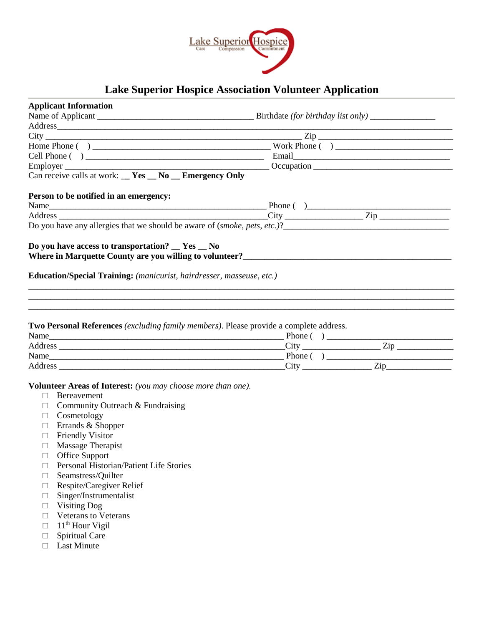

# **Lake Superior Hospice Association Volunteer Application**

| <b>Applicant Information</b>                                                                                                                                        |                                                                               |  |  |  |  |  |  |
|---------------------------------------------------------------------------------------------------------------------------------------------------------------------|-------------------------------------------------------------------------------|--|--|--|--|--|--|
|                                                                                                                                                                     |                                                                               |  |  |  |  |  |  |
|                                                                                                                                                                     |                                                                               |  |  |  |  |  |  |
|                                                                                                                                                                     |                                                                               |  |  |  |  |  |  |
|                                                                                                                                                                     |                                                                               |  |  |  |  |  |  |
|                                                                                                                                                                     |                                                                               |  |  |  |  |  |  |
|                                                                                                                                                                     |                                                                               |  |  |  |  |  |  |
| Can receive calls at work: $\mathbf{r} = \mathbf{Yes} - \mathbf{No}$ Emergency Only                                                                                 |                                                                               |  |  |  |  |  |  |
| Person to be notified in an emergency:                                                                                                                              |                                                                               |  |  |  |  |  |  |
|                                                                                                                                                                     |                                                                               |  |  |  |  |  |  |
|                                                                                                                                                                     |                                                                               |  |  |  |  |  |  |
|                                                                                                                                                                     | Do you have any allergies that we should be aware of (smoke, pets, etc.)?<br> |  |  |  |  |  |  |
| Education/Special Training: (manicurist, hairdresser, masseuse, etc.)                                                                                               |                                                                               |  |  |  |  |  |  |
| <b>Two Personal References</b> <i>(excluding family members)</i> . Please provide a complete address.                                                               |                                                                               |  |  |  |  |  |  |
|                                                                                                                                                                     |                                                                               |  |  |  |  |  |  |
|                                                                                                                                                                     |                                                                               |  |  |  |  |  |  |
|                                                                                                                                                                     |                                                                               |  |  |  |  |  |  |
| Volunteer Areas of Interest: (you may choose more than one).<br><b>Bereavement</b><br>$\Box$<br>Community Outreach & Fundraising<br>$\Box$<br>Cosmetology<br>$\Box$ |                                                                               |  |  |  |  |  |  |

- □ Friendly Visitor
- □ Massage Therapist
- □ Office Support
- □ Personal Historian/Patient Life Stories
- □ Seamstress/Quilter
- □ Respite/Caregiver Relief
- □ Singer/Instrumentalist
- □ Visiting Dog
- □ Veterans to Veterans
- $\Box$  11<sup>th</sup> Hour Vigil
- □ Spiritual Care
- □ Last Minute